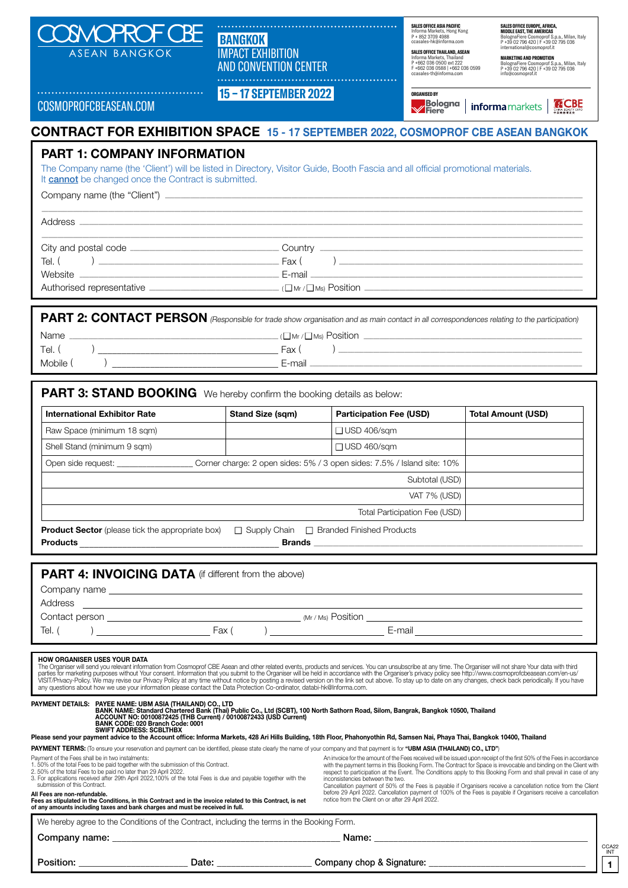

 **BANGKOK**  IMPACT EXHIBITION AND CONVENTION CENTER

 **15 – 17 SEPTEMBER 2022** 

**SALES OFFICE ASIA PACIFIC UTTOL AUGHT AUGHTU**<br>Ia Markets, Hong Kong P + 852 3709 4988 ccasales-hk@informa.com

**SALES OFFICE THAILAND, ASEAN**  Informa Markets, Thailand P +662 036 0500 ext 222 F +662 036 0588 | +662 036 0599 ccasales-th@informa.com

Bologna | informa markets |

**ORGANISED BY**

**SALES OFFICE EUROPE, AFRICA, MIDDLE EAST, THE AMERICAS** BolognaFiere Cosmoprof S.p.a., Milan, Italy P +39 02 796 420 | F +39 02 795 036 international@cosmoprof.it

**MARKETING AND PROMOTION**  BolognaFiere Cosmoprof S.p.a., Milan, Italy P +39 02 796 420 | F +39 02 795 036 info@cosmoprof.it

**ACBE** 

COSMOPROFCBEASEAN.COM

# **CONTRACT FOR EXHIBITION SPACE 15 - 17 SEPTEMBER 2022, COSMOPROF CBE ASEAN BANGKOK**

## **PART 1: COMPANY INFORMATION**

The Company name (the 'Client') will be listed in Directory, Visitor Guide, Booth Fascia and all official promotional materials. It **cannot** be changed once the Contract is submitted.

Company name (the "Client")  $\Box$ 

Address \_\_\_\_\_\_\_\_\_\_\_\_\_\_\_\_\_\_\_\_\_\_\_\_\_\_\_\_\_\_\_\_\_\_\_\_\_\_\_\_\_\_\_\_\_\_\_\_\_\_\_\_\_\_\_\_\_\_\_\_\_\_\_\_\_\_\_\_\_\_\_\_\_\_\_\_\_\_\_\_\_\_\_\_\_\_\_\_\_\_\_\_\_\_\_\_\_\_\_\_\_\_\_\_\_\_\_\_\_\_\_\_\_\_\_\_\_\_\_\_\_\_\_\_\_\_\_\_\_\_\_\_\_\_\_\_\_\_\_\_\_\_\_\_\_\_\_\_\_\_\_\_\_\_\_\_\_\_\_

|                             | . Country<br><u> 1989 - Andrea Barbara, margaretar artean (h. 1989).</u> |
|-----------------------------|--------------------------------------------------------------------------|
| Tel. (                      | Fax (                                                                    |
| Website                     |                                                                          |
| Authorised representative _ | $(\Box$ Mr / $\Box$ Ms) Position $\Box$                                  |

\_\_\_\_\_\_\_\_\_\_\_\_\_\_\_\_\_\_\_\_\_\_\_\_\_\_\_\_\_\_\_\_\_\_\_\_\_\_\_\_\_\_\_\_\_\_\_\_\_\_\_\_\_\_\_\_\_\_\_\_\_\_\_\_\_\_\_\_\_\_\_\_\_\_\_\_\_\_\_\_\_\_\_\_\_\_\_\_\_\_\_\_\_\_\_\_\_\_\_\_\_\_\_\_\_\_\_\_\_\_\_\_\_\_\_\_\_\_\_\_\_\_\_\_\_\_\_\_\_\_\_\_\_\_\_\_\_\_\_\_\_\_\_\_\_\_\_\_\_\_\_\_\_\_\_\_\_\_\_\_\_\_\_\_\_\_\_\_\_\_\_

**PART 2: CONTACT PERSON** (Responsible for trade show organisation and as main contact in all correspondences relating to the participation) Name \_\_\_\_\_\_\_\_\_\_\_\_\_\_\_\_\_\_\_\_\_\_\_\_\_\_\_\_\_\_\_\_\_\_\_\_\_\_\_\_\_\_\_\_\_\_\_\_\_\_\_\_\_\_\_\_\_\_\_\_\_\_\_\_\_\_ ( ■ Mr / ■ Ms) Position \_\_\_\_\_\_\_\_\_\_\_\_\_\_\_\_\_\_\_\_\_\_\_\_\_\_\_\_\_\_\_\_\_\_\_\_\_\_\_\_\_\_\_\_\_\_\_\_\_\_\_\_\_\_\_\_\_\_\_\_\_\_\_\_\_\_\_\_\_ Tel. ( ) \_\_\_\_\_\_\_\_\_\_\_\_\_\_\_\_\_\_\_\_\_\_\_\_\_\_\_\_\_\_\_\_\_\_\_\_\_\_ Fax ( ) \_\_\_\_\_\_\_\_\_\_\_\_\_\_\_\_\_\_\_\_\_\_\_\_\_\_\_\_\_\_\_\_\_\_\_\_\_\_\_\_\_\_\_\_\_\_\_\_\_\_\_\_\_\_\_\_\_\_\_\_\_\_\_\_\_\_\_\_\_\_\_\_\_\_\_\_\_ Mobile ( ) \_\_\_\_\_\_\_\_\_\_\_\_\_\_\_\_\_\_\_\_\_\_\_\_\_\_\_\_\_\_\_\_\_\_\_ E-mail \_\_\_\_\_\_\_\_\_\_\_\_\_\_\_\_\_\_\_\_\_\_\_\_\_\_\_\_\_\_\_\_\_\_\_\_\_\_\_\_\_\_\_\_\_\_\_\_\_\_\_\_\_\_\_\_\_\_\_\_\_\_\_\_\_\_\_\_\_\_\_\_\_\_\_\_\_\_\_\_\_\_\_\_\_\_

| <b>International Exhibitor Rate</b>                                                                          |                                                                                                                 | <b>Stand Size (sqm)</b> | <b>Participation Fee (USD)</b> | <b>Total Amount (USD)</b> |
|--------------------------------------------------------------------------------------------------------------|-----------------------------------------------------------------------------------------------------------------|-------------------------|--------------------------------|---------------------------|
| Raw Space (minimum 18 sqm)                                                                                   |                                                                                                                 |                         | $\Box$ USD 406/sqm             |                           |
| Shell Stand (minimum 9 sqm)                                                                                  |                                                                                                                 |                         | $\Box$ USD 460/sqm             |                           |
|                                                                                                              | Open side request: _____________________Corner charge: 2 open sides: 5% / 3 open sides: 7.5% / Island site: 10% |                         |                                |                           |
|                                                                                                              |                                                                                                                 |                         | Subtotal (USD)                 |                           |
|                                                                                                              |                                                                                                                 |                         |                                |                           |
|                                                                                                              |                                                                                                                 |                         | VAT 7% (USD)                   |                           |
| <b>Product Sector</b> (please tick the appropriate box) $\Box$ Supply Chain $\Box$ Branded Finished Products |                                                                                                                 |                         | Total Participation Fee (USD)  |                           |
| <b>PART 4: INVOICING DATA</b> (if different from the above)                                                  |                                                                                                                 |                         |                                |                           |
|                                                                                                              |                                                                                                                 |                         |                                |                           |
|                                                                                                              |                                                                                                                 |                         |                                |                           |

The Organiser will send you relevant information from Cosmoprof CBE Asean and other related events, products and services. You can unsubscribe at any time. The Organiser will not share Your data with third<br>parties for mark

| PAYMENT DETAILS: PAYEE NAME: UBM ASIA (THAILAND) CO., LTD |
|-----------------------------------------------------------|
|                                                           |

PAYMENT DETAILS: PAYEE NAME: UBM ASIA (THAILAND) CO., LTD<br>BANK NAME: Standard Chartered Bank (Thai) Public Co., Ltd (SCBT), 100 North Sathorn Road, Silom, Bangrak, Bangkok 10500, Thailand<br>ACCOUNT NO: 00100872425 (THB Cur

BANK CODE: 020 Branch Code: 0001<br>SWIFT ADDRESS: SCBLTHBX<br>Please send your payment advice to the Account office: Informa Markets, 428 Ari Hills Building, 18th Floor, Phahonyothin Rd, Samsen Nai, Phaya Thai, Bangkok 10400, T

PAYMENT TERMS: (To ensure your reservation and payment can be identified, please state clearly the name of your company and that payment is for "UBM ASIA (THAILAND) CO., LTD")

Payment of the Fees shall be in two instalments:

1. 50% of the total Fees to be paid together with the submission of this Contract.

2. 50% of the total Fees to be paid no later than 29 April 2022. 3. For applications received after 29th April 2022,100% of the total Fees is due and payable together with the submission of this Contract.

An invoice for the amount of the Fees received will be issued upon receipt of the first 50% of the Fees in accordance with the payment terms in this Booking Form. The Contract for Space is irrevocable and binding on the Client with<br>respect to participation at the Event. The Conditions apply to this Booking Form and shall prevail in case o inconsistencies between the two. Cancellation payment of 50% of the Fees is payable if Organisers receive a cancellation notice from the Client<br>before 29 April 2022. Cancellation payment of 100% of the Fees is payable if Organisers receive a cancellation<br>

> CCA22 INT **1**

**All Fees are non-refundable. Fees as stipulated in the Conditions, in this Contract and in the invoice related to this Contract, is net of any amounts including taxes and bank charges and must be received in full.**

We hereby agree to the Conditions of the Contract, including the terms in the Booking Form.

| Company name: | Name |
|---------------|------|
|               |      |

Position: \_\_\_\_\_\_\_\_\_\_\_\_\_\_\_\_\_\_\_\_\_\_\_ Date: \_\_\_\_\_\_\_\_\_\_\_\_\_\_\_\_\_\_\_\_ Company chop & Signature: \_\_\_\_\_\_\_\_\_\_\_\_\_\_\_\_\_\_\_\_\_\_\_\_\_\_\_\_\_\_\_\_\_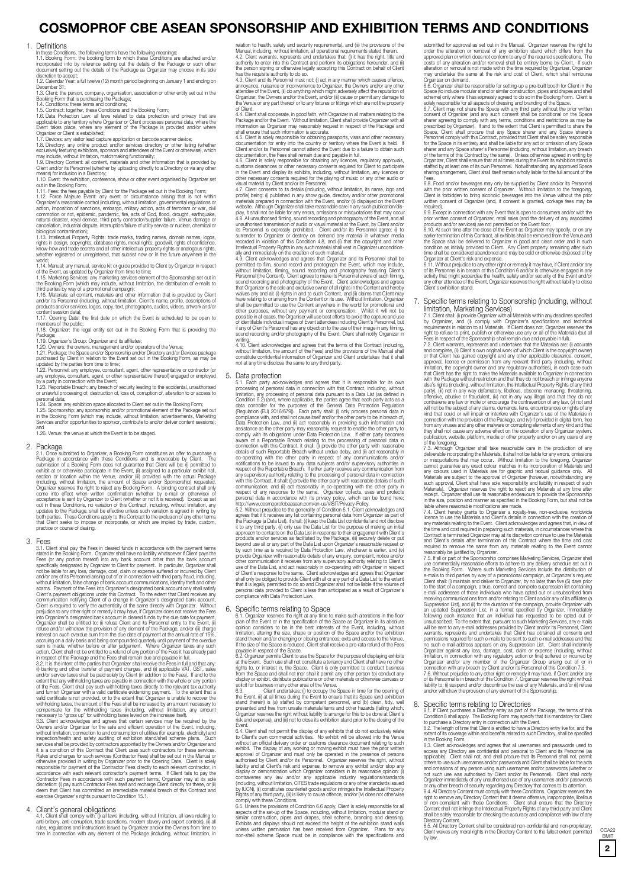# **COSMOPROF CBE ASEAN SPONSORSHIP AND EXHIBITION TERMS AND CONDITIONS**

### 1. Definitions

In these Conditions, the following terms have the following meanings:<br>1.1. Booking Form: the booking form to which these Conditions are attached and/or<br>incorporated into by reference setting out the details of the Package

discretion to accept; 1.2. Calendar Year: a full twelve (12) month period beginning on January 1 and ending on December 31:

1.3. Client: the person, company, organisation, association or other entity set out in the Booking Form that is purchasing the Package;

1.4. Conditions: these terms and conditions; 1.5. Contract: together, these Conditions and the Booking Form;

1.6. Data Protection Law: all laws related to data protection and privacy that are applicable to any territory where Organizer or Client processes personal data, where the Event takes place, where any element of the Packag

1. Experience of the Booking Form;<br>in the Booking Form;<br>. Fees: the fees payable by Client for the Package set out in the Booking Form

1.12. Force Majeure Event: any event or circumstance arising that is not within<br>Organizer's reasonable control (including, without limitation, governmental regulations or<br>action, imposition of sanctions, embargo, military natural disaster, royal demise, third party contractor/supplier failure, Venue damage or cancellation, industrial dispute, interruption/failure of utility service or nuclear, chemical or biological contamination);

1.13. Intellectual Property Rights: trade marks, trading names, domain names, logos, rights in design, copyrights, database rights, moral rights, goodwill, rights of confidence,<br>know-how and trade secrets and all other intellectual property rights or analogous rights,<br>whether registered or unregistered, th

word;<br>
1.14. Manual: any manual, service kit or guide provided to Client by Organizer in respect<br>
of the Event, as updated by Organizer from time to time;<br>
1.15. Manketing Services: any marketing services element of the Sp content session data);<br>1.17. Opening Date: the first date on which the Event is scheduled to be open to

members of the public; 1.18. Organizer: the legal entity set out in the Booking Form that is providing the

Package;<br>1.19. Organizer's Group: Organizer and its affiliates;<br>1.20. Owners: the owners, management and/or operators of the Venue;<br>1.21. Package: the Space and/or Sponsorship and/or Directory and/or Devices package<br>purcha

1.22. Personnel: any employee, consultant, agent, other representative or contractor (or<br>any employee, consultant, agent, or other representative thereof) engaged or employed<br>by a party in connection with the Event;<br>1.23.

1.24. Space: any exhibition space allocated to Client set out in the Booking Form;<br>1.25. Sponsorship: any sponsorship and/or promotional element of the Package set out<br>in the Booking Form (which may include, without limita

and 1.26. Venue: the venue at which the Event is to be staged.

2. Package<br>  $\alpha$  CACage submitted to Organizer, a Booking Form constitutes an offer to purchase a<br>
Package in accordance with these Conditions and is irrevocable by Client. The<br>
submission of a Booking Form does not guara

3. FeeS<br>
For Society and pay the Fees in cleared funds in accordance with the payment terms<br>
stated in the Booking Form. Organizer shall have no lability whatsoever if Client pays the<br>
Fees (or any portion thereof) into an refuse and/or withdraw the provision of any element of the Package, and/or (iii) charge interest on such overdue sum from the due date of payment at the annual rate of 15%,

accouring on a daily basis and being compounded quarterly until payment of the overdue<br>sucmiss made, whether before or after judgement. Where Organizer takes any such<br>action, Client shall not be entitled to a refund of any

it is a condition of this Contract that Client uses such contractors for these services. Rates and charges for such services (Contractor Fees) shall be set out in the Manual or otherwise provided in writing by Organizer prior to the Opening Date. Client is solely responsible for payment of the Contractor Fees directly to each relevant contractor, in accordance with each relevant contractor's paym

4. Client's general obligations<br>and completion and completion and an entire that and completion and the<br>online three instances and intervention and the section of the section<br>of the section of the section of the section of

relation to health, safety and security requirements), and (iii) the provisions of the<br>Manual, including, without limitation, all operational requirements stated therein.<br>4.2. Client warrants, represents and undertakes tha

authority to enter into this Contract and perform its obligations hereunder, and (ii)<br>the person signing or otherwise legally accepting this Contract on behalf of Client<br>has the requisite authority to do so.<br>4.3. Client an

4.4. Client shall cooperate, in good faith, with Organizer in all matters relating to the<br>Package and/or the Event. Without limitation, Client shall provide Organizer with all<br>information as Organizer may reasonably reques

4.5. Client is solely responsible for obtaining passports, visas and other necessary<br>documentation for entry into the country or territory where the Event is held. If<br>Client and/or its Personnel cannot attend the Event due

documentation, the Fees shall remain due and payable in full.<br>4.6. Client is solely responsible for obtaining any licences, regulatory approvals,<br>customs clearances or other necessary consents required for Client to partic

in the Event and display its exhibits, including, without limitation, any licences or<br>other necessary consents required for the playing of music or any other audio or<br>other necessary consents required for the playing of mu

Personnel (the Content). Client agrees to make its Personnel aware of such filming,<br>sound recording and photography of the Event. Client acknowledges and agrees<br>that Organizer is the sole and exclusive owner of all right waives any and all: (i) rights in and to such Content, and (ii) claims that Client may<br>have relating to or arising from the Content or its use. Without limitation, Organizer<br>shall be permitted to use the Content anywhere i

writing.<br>4.10. Cilient acknowledges and agrees that the terms of this Contract (including,<br>without limitation, the amount of the Fees) and the provisions of the Manual shall<br>constitute confidential information of Organizer

5. Data protection<br>5.1. Each party acknowledges and agrees that it is responsible for its own 5.1. Each party acknowledges and agrees that it is responsible for its own<br>consisting of personal data in connection with this Contract, including, without<br>imitation, any processing of personal data in connection with this

respect of any response to the same. Organizer collects, uses and protects, and procedure personal data in accordance with its privacy policy, which can be found here:<br>thtp://www.cosmopror/cloasesan.com/en-us/VSIT/P-mazy-P

6. Specific terms relating to Space is even the such attentions in the floor.<br>
and the best of the space as of the space as organizer in its absolute<br>
opinion considers to be in the best interests of the Event, including,

stand therein) is (a) staffed by competent personnel, and (b) clean, tidy, well<br>presented and free from unsafe materials/items and other hazards (failing which,<br>Organizer reserves the right without liability to arrange for

risk and expense), and (ii) not to close its exhibition stand prior to the closing of the Evant shall not permit the display of any schulter in the content to the content to the Cient's own commercial activities. No exhibi

similar construction, pipes and drapes, shell scheme, branding and dressing.<br>Exhibits and displays should not exceed the height of the exhibition stand walls<br>unless written permission has been received from Organizer. Plan

submitted for approval as set out in the Manual. Organizer reserves the right to<br>order the alteration or removal of any exhibition stand which differs from the<br>approved plan or which does not conform to any of the required costs of any alteration and/or removal shall be entirely borne by Client. If such alteration or removal is not made within the time required by Organizer, may undertake the same at the risk and cost of Client, which shall

may undertake the same at the risk and cost of Client, which shall reimburse<br>organizer on demand.<br>Separates that be responsible for setting-up a pre-built booth for Client in the<br>Space (6. Organizer shall be responsible fo staffed by at least one of its own Personnel. Notwithstanding any approved Space sharing arrangement, Client shall itself remain wholly liable for the full amount of the

Fees.<br>
Fees.<br>
GRS. Food and/or beverages may only be supplied by Client and/or its Personnel<br>
with the prior written consent of Organizer. Without limitation to the foregoing,<br>
Client is forbidden to bring alcoholic bevera

6.9. Except in connection with any Event that is open to consumers and/or with the spin consent of Organizer, retail sales (and the delivery of any associated products and/or services) are not permitted on the Event floor. time shall be considered abandoned and may be sold or otherwise disposed of by<br>Organizer at Client's risk and expense.<br>6.11. Without prejudice to any other right or remedy it may have, if Client and/or any

of its Personnel is in breach of this Condition 6 and/or is otherwise engaged in any<br>activity that might jeopardise the health, safety and/or security of the Event and/or<br>any other attendee of the Event, Organizer reserves nt's exhibition stand

# 7. Specific terms relating to Sponsorship (including, without

limitation, Marketing Services)<br>7.1. Glent shall, @povide Organizer with experiments in reading the Cyclomatic Sy Organizer, and (ii) comply with Organizer's specifications and technical<br>by Organizer, and (ii) comply with

and complete, (ii) Client's own original work (of which Client is the copyright owner) or that Client has gained copyright and any other applicable clearance, consent, approval, licence or permission from any regulatory authorities), in each case such<br>finding, without limit and the comprise form and any regulatory authorities), in each case such<br>with the Package without restriction and t

7.3. Although Organizer shall take reasonable care in the production of any deliverable incorporating the Materials, it shall not be liable for any errors, omissions or misqualations that may occur. Without limitation to the foregoing, Organizer cannot guarantee any exact colour matches in its incorporation of Materials and Materials are subject to the approval of Organizer flowever, n

the Booking Form. Where such Marketing Services include the distribution of e-mails to third parties by way of a promotional campaign, at Organizer's request<br>clims that if () maintain and deliver to Organizer, by no later

8. Sopecific terms relating to Directories and the Backage, the terms of this Condito R still continue and the Condito Client Condito B shall apply. The Booking Form may specify that it is mandatory for Client to purchase or non-compliant with these Conditions. Client shall ensure that the Directory<br>Content shall not infringe the Intellectual Property Rights of any third party and Client<br>shall be solely responsible for checking the accuracy

Directory Content. 8.5. All Directory Content shall be considered non-confidential and non-proprietary. Client waives any moral rights in the Directory Content to the fullest extent permitted by law.